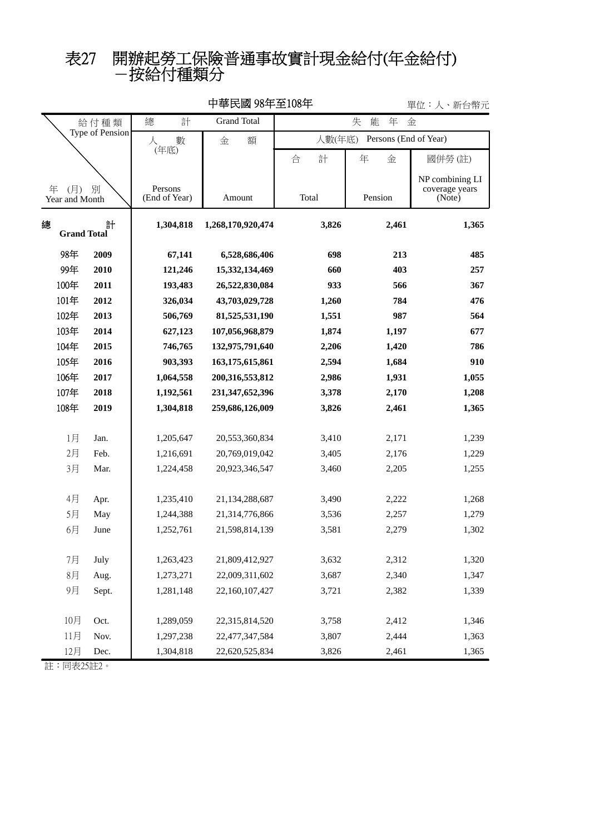## -按給付種類分 表27 開辦起勞工保險普通事故實計現金給付(年金給付)

|                                 |             |                          |                                  |                                 |                | — ⊥∟<br>ハリ ロロラノヒ                            |  |  |
|---------------------------------|-------------|--------------------------|----------------------------------|---------------------------------|----------------|---------------------------------------------|--|--|
| 給付種類<br>Type of Pension         |             | 總<br>計                   | <b>Grand Total</b>               | 能<br>年<br>失<br>金                |                |                                             |  |  |
|                                 |             | 數                        | 額<br>金                           | 人數(年底)<br>Persons (End of Year) |                |                                             |  |  |
|                                 |             | (年底)                     |                                  | 計<br>合                          | 年<br>金         | 國併勞(註)                                      |  |  |
| (月)<br>年<br>別<br>Year and Month |             | Persons<br>(End of Year) | Amount                           | Total                           | Pension        | NP combining LI<br>coverage years<br>(Note) |  |  |
| 計<br>總<br><b>Grand Total</b>    |             | 1,304,818                | 1,268,170,920,474                | 3,826                           | 2,461          | 1,365                                       |  |  |
| 98年                             | 2009        | 67,141                   | 6,528,686,406                    | 698                             | 213            | 485                                         |  |  |
| 99年                             | 2010        | 121,246                  | 15,332,134,469                   | 660                             | 403            | 257                                         |  |  |
| 100年                            | 2011        | 193,483                  | 26,522,830,084                   | 933                             | 566            | 367                                         |  |  |
| 101年                            | 2012        | 326,034                  | 43,703,029,728                   | 1,260                           | 784            | 476                                         |  |  |
| 102年                            | 2013        | 506,769                  | 81,525,531,190                   | 1,551                           | 987            | 564                                         |  |  |
| 103年                            | 2014        | 627,123                  | 107,056,968,879                  | 1,874                           | 1,197          | 677                                         |  |  |
| 104年                            | 2015        | 746,765                  | 132,975,791,640                  | 2,206                           | 1,420          | 786                                         |  |  |
| 105年                            | 2016        | 903,393                  | 163,175,615,861                  | 2,594                           | 1,684          | 910                                         |  |  |
| 106年                            | 2017        | 1,064,558                | 200, 316, 553, 812               | 2,986                           | 1,931          | 1,055                                       |  |  |
| 107年                            | 2018        | 1,192,561                | 231, 347, 652, 396               | 3,378                           | 2,170          | 1,208                                       |  |  |
| 108年                            | 2019        | 1,304,818                | 259,686,126,009                  | 3,826                           | 2,461          | 1,365                                       |  |  |
| 1月                              | Jan.        | 1,205,647                | 20,553,360,834                   | 3,410                           | 2,171          | 1,239                                       |  |  |
| 2月                              | Feb.        | 1,216,691                | 20,769,019,042                   | 3,405                           | 2,176          | 1,229                                       |  |  |
| 3月                              | Mar.        | 1,224,458                | 20,923,346,547                   | 3,460                           | 2,205          | 1,255                                       |  |  |
|                                 |             |                          |                                  |                                 |                |                                             |  |  |
| 4月<br>5月                        | Apr.<br>May | 1,235,410<br>1,244,388   | 21,134,288,687<br>21,314,776,866 | 3,490<br>3,536                  | 2,222<br>2,257 | 1,268<br>1,279                              |  |  |
| 6月                              | June        | 1,252,761                | 21,598,814,139                   | 3,581                           | 2,279          | 1,302                                       |  |  |
|                                 |             |                          |                                  |                                 |                |                                             |  |  |
| 7月                              | July        | 1,263,423                | 21,809,412,927                   | 3,632                           | 2,312          | 1,320                                       |  |  |
| $8$ 月                           | Aug.        | 1,273,271                | 22,009,311,602                   | 3,687                           | 2,340          | 1,347                                       |  |  |
| 9月                              | Sept.       | 1,281,148                | 22,160,107,427                   | 3,721                           | 2,382          | 1,339                                       |  |  |
| 10月                             | Oct.        | 1,289,059                | 22,315,814,520                   | 3,758                           | 2,412          | 1,346                                       |  |  |
| 11月                             | Nov.        | 1,297,238                | 22,477,347,584                   | 3,807                           | 2,444          | 1,363                                       |  |  |
| 12月                             | Dec.        | 1,304,818                | 22,620,525,834                   | 3,826                           | 2,461          | 1,365                                       |  |  |

中華民國 98年至108年

單位:人、新台幣元

註:同表25註2。